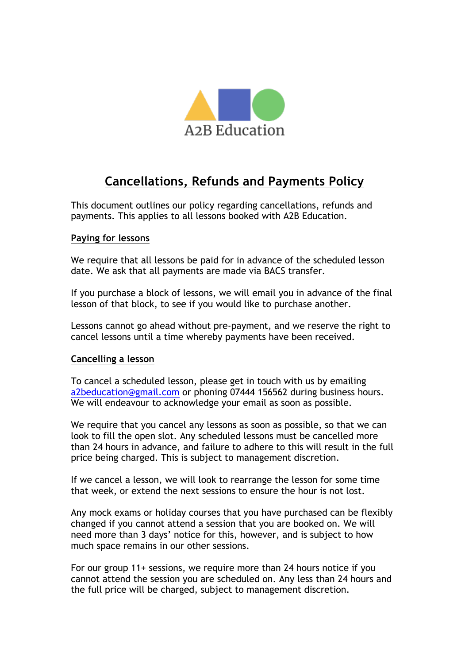

## **Cancellations, Refunds and Payments Policy**

This document outlines our policy regarding cancellations, refunds and payments. This applies to all lessons booked with A2B Education.

## **Paying for lessons**

We require that all lessons be paid for in advance of the scheduled lesson date. We ask that all payments are made via BACS transfer.

If you purchase a block of lessons, we will email you in advance of the final lesson of that block, to see if you would like to purchase another.

Lessons cannot go ahead without pre-payment, and we reserve the right to cancel lessons until a time whereby payments have been received.

## **Cancelling a lesson**

To cancel a scheduled lesson, please get in touch with us by emailing a2beducation@gmail.com or phoning 07444 156562 during business hours. We will endeavour to acknowledge your email as soon as possible.

We require that you cancel any lessons as soon as possible, so that we can look to fill the open slot. Any scheduled lessons must be cancelled more than 24 hours in advance, and failure to adhere to this will result in the full price being charged. This is subject to management discretion.

If we cancel a lesson, we will look to rearrange the lesson for some time that week, or extend the next sessions to ensure the hour is not lost.

Any mock exams or holiday courses that you have purchased can be flexibly changed if you cannot attend a session that you are booked on. We will need more than 3 days' notice for this, however, and is subject to how much space remains in our other sessions.

For our group 11+ sessions, we require more than 24 hours notice if you cannot attend the session you are scheduled on. Any less than 24 hours and the full price will be charged, subject to management discretion.